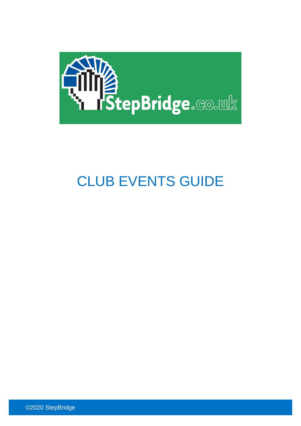

# CLUB EVENTS GUIDE

©2020 StepBridge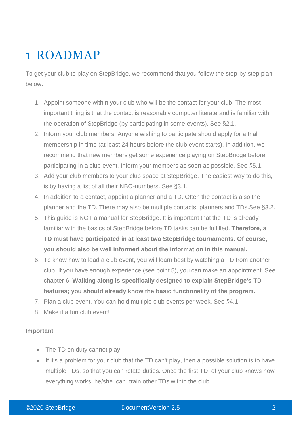# 1 ROADMAP

To get your club to play on StepBridge, we recommend that you follow the step-by-step plan below.

- 1. Appoint someone within your club who will be the contact for your club. The most important thing is that the contact is reasonably computer literate and is familiar with the operation of StepBridge (by participating in some events). See §2.1.
- 2. Inform your club members. Anyone wishing to participate should apply for a trial membership in time (at least 24 hours before the club event starts). In addition, we recommend that new members get some experience playing on StepBridge before participating in a club event. Inform your members as soon as possible. See §5.1.
- 3. Add your club members to your club space at StepBridge. The easiest way to do this, is by having a list of all their NBO-numbers. See §3.1.
- 4. In addition to a contact, appoint a planner and a TD. Often the contact is also the planner and the TD. There may also be multiple contacts, planners and TDs.See §3.2.
- 5. This guide is NOT a manual for StepBridge. It is important that the TD is already familiar with the basics of StepBridge before TD tasks can be fulfilled. **Therefore, a TD must have participated in at least two StepBridge tournaments. Of course, you should also be well informed about the information in this manual.**
- 6. To know how to lead a club event, you will learn best by watching a TD from another club. If you have enough experience (see point 5), you can make an appointment. See chapter 6. **Walking along is specifically designed to explain StepBridge's TD features; you should already know the basic functionality of the program.**
- 7. Plan a club event. You can hold multiple club events per week. See §4.1.
- 8. Make it a fun club event!

#### **Important**

- The TD on duty cannot play.
- If it's a problem for your club that the TD can't play, then a possible solution is to have multiple TDs, so that you can rotate duties. Once the first TD of your club knows how everything works, he/she can train other TDs within the club.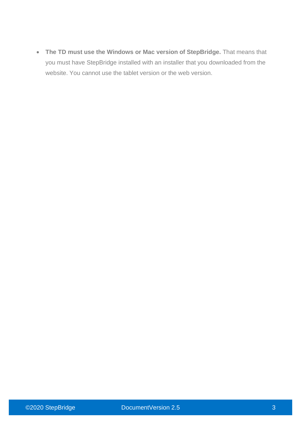• **The TD must use the Windows or Mac version of StepBridge.** That means that you must have StepBridge installed with an installer that you downloaded from the website. You cannot use the tablet version or the web version.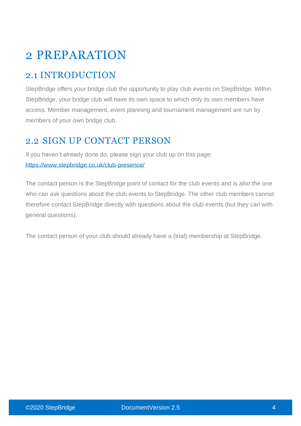# 2 PREPARATION

# 2.1 INTRODUCTION

StepBridge offers your bridge club the opportunity to play club events on StepBridge. Within StepBridge, your bridge club will have its own space to which only its own members have access. Member management, event planning and tournament management are run by members of your own bridge club.

## 2.2 SIGN UP CONTACT PERSON

If you haven't already done do, please sign your club up on this page: <https://www.stepbridge.co.uk/club-presence/>

The contact person is the StepBridge point of contact for the club events and is also the one who can ask questions about the club events to StepBridge. The other club members cannot therefore contact StepBridge directly with questions about the club events (but they can with general questions).

The contact person of your club should already have a (trial) membership at StepBridge.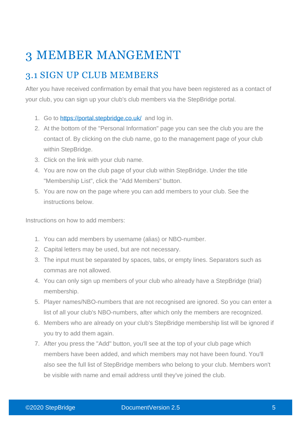# 3 MEMBER MANGEMENT

# 3.1 SIGN UP CLUB MEMBERS

After you have received confirmation by email that you have been registered as a contact of your club, you can sign up your club's club members via the StepBridge portal.

- 1. Go to<https://portal.stepbridge.co.uk/>and log in.
- 2. At the bottom of the "Personal Information" page you can see the club you are the contact of. By clicking on the club name, go to the management page of your club within StepBridge.
- 3. Click on the link with your club name.
- 4. You are now on the club page of your club within StepBridge. Under the title "Membership List", click the "Add Members" button.
- 5. You are now on the page where you can add members to your club. See the instructions below.

Instructions on how to add members:

- 1. You can add members by username (alias) or NBO-number.
- 2. Capital letters may be used, but are not necessary.
- 3. The input must be separated by spaces, tabs, or empty lines. Separators such as commas are not allowed.
- 4. You can only sign up members of your club who already have a StepBridge (trial) membership.
- 5. Player names/NBO-numbers that are not recognised are ignored. So you can enter a list of all your club's NBO-numbers, after which only the members are recognized.
- 6. Members who are already on your club's StepBridge membership list will be ignored if you try to add them again.
- 7. After you press the "Add" button, you'll see at the top of your club page which members have been added, and which members may not have been found. You'll also see the full list of StepBridge members who belong to your club. Members won't be visible with name and email address until they've joined the club.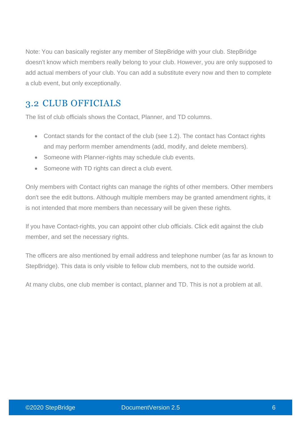Note: You can basically register any member of StepBridge with your club. StepBridge doesn't know which members really belong to your club. However, you are only supposed to add actual members of your club. You can add a substitute every now and then to complete a club event, but only exceptionally.

# 3.2 CLUB OFFICIALS

The list of club officials shows the Contact, Planner, and TD columns.

- Contact stands for the contact of the club (see 1.2). The contact has Contact rights and may perform member amendments (add, modify, and delete members).
- Someone with Planner-rights may schedule club events.
- Someone with TD rights can direct a club event.

Only members with Contact rights can manage the rights of other members. Other members don't see the edit buttons. Although multiple members may be granted amendment rights, it is not intended that more members than necessary will be given these rights.

If you have Contact-rights, you can appoint other club officials. Click edit against the club member, and set the necessary rights.

The officers are also mentioned by email address and telephone number (as far as known to StepBridge). This data is only visible to fellow club members, not to the outside world.

At many clubs, one club member is contact, planner and TD. This is not a problem at all.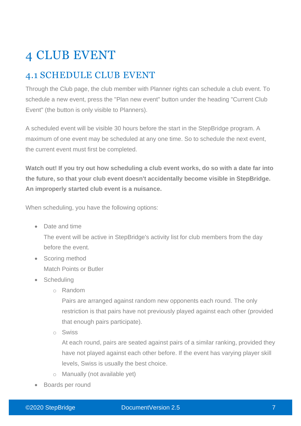# 4 CLUB EVENT

# 4.1 SCHEDULE CLUB EVENT

Through the Club page, the club member with Planner rights can schedule a club event. To schedule a new event, press the "Plan new event" button under the heading "Current Club Event" (the button is only visible to Planners).

A scheduled event will be visible 30 hours before the start in the StepBridge program. A maximum of one event may be scheduled at any one time. So to schedule the next event, the current event must first be completed.

**Watch out! If you try out how scheduling a club event works, do so with a date far into the future, so that your club event doesn't accidentally become visible in StepBridge. An improperly started club event is a nuisance.**

When scheduling, you have the following options:

• Date and time

The event will be active in StepBridge's activity list for club members from the day before the event.

- Scoring method Match Points or Butler
- **Scheduling** 
	- o Random

Pairs are arranged against random new opponents each round. The only restriction is that pairs have not previously played against each other (provided that enough pairs participate).

o Swiss

At each round, pairs are seated against pairs of a similar ranking, provided they have not played against each other before. If the event has varying player skill levels, Swiss is usually the best choice.

- o Manually (not available yet)
- Boards per round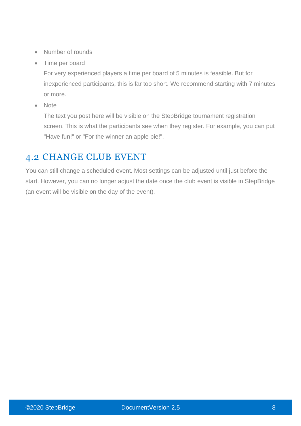- Number of rounds
- Time per board

For very experienced players a time per board of 5 minutes is feasible. But for inexperienced participants, this is far too short. We recommend starting with 7 minutes or more.

• Note

The text you post here will be visible on the StepBridge tournament registration screen. This is what the participants see when they register. For example, you can put "Have fun!" or "For the winner an apple pie!".

# 4.2 CHANGE CLUB EVENT

You can still change a scheduled event. Most settings can be adjusted until just before the start. However, you can no longer adjust the date once the club event is visible in StepBridge (an event will be visible on the day of the event).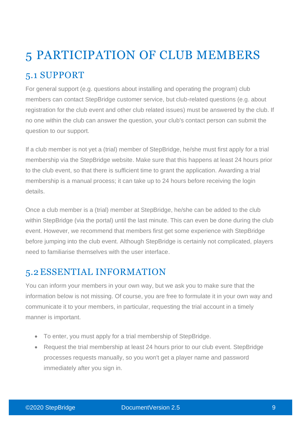# 5 PARTICIPATION OF CLUB MEMBERS 5.1 SUPPORT

For general support (e.g. questions about installing and operating the program) club members can contact StepBridge customer service, but club-related questions (e.g. about registration for the club event and other club related issues) must be answered by the club. If no one within the club can answer the question, your club's contact person can submit the question to our support.

If a club member is not yet a (trial) member of StepBridge, he/she must first apply for a trial membership via the StepBridge website. Make sure that this happens at least 24 hours prior to the club event, so that there is sufficient time to grant the application. Awarding a trial membership is a manual process; it can take up to 24 hours before receiving the login details.

Once a club member is a (trial) member at StepBridge, he/she can be added to the club within StepBridge (via the portal) until the last minute. This can even be done during the club event. However, we recommend that members first get some experience with StepBridge before jumping into the club event. Although StepBridge is certainly not complicated, players need to familiarise themselves with the user interface.

# 5.2 ESSENTIAL INFORMATION

You can inform your members in your own way, but we ask you to make sure that the information below is not missing. Of course, you are free to formulate it in your own way and communicate it to your members, in particular, requesting the trial account in a timely manner is important.

- To enter, you must apply for a trial membership of StepBridge.
- Request the trial membership at least 24 hours prior to our club event. StepBridge processes requests manually, so you won't get a player name and password immediately after you sign in.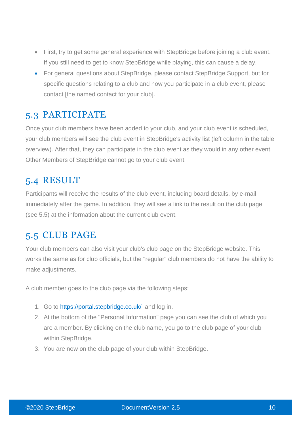- First, try to get some general experience with StepBridge before joining a club event. If you still need to get to know StepBridge while playing, this can cause a delay.
- For general questions about StepBridge, please contact StepBridge Support, but for specific questions relating to a club and how you participate in a club event, please contact [the named contact for your club].

## 5.3 PARTICIPATE

Once your club members have been added to your club, and your club event is scheduled, your club members will see the club event in StepBridge's activity list (left column in the table overview). After that, they can participate in the club event as they would in any other event. Other Members of StepBridge cannot go to your club event.

## 5.4 RESULT

Participants will receive the results of the club event, including board details, by e-mail immediately after the game. In addition, they will see a link to the result on the club page (see 5.5) at the information about the current club event.

### 5.5 CLUB PAGE

Your club members can also visit your club's club page on the StepBridge website. This works the same as for club officials, but the "regular" club members do not have the ability to make adjustments.

A club member goes to the club page via the following steps:

- 1. Go to<https://portal.stepbridge.co.uk/>and log in.
- 2. At the bottom of the "Personal Information" page you can see the club of which you are a member. By clicking on the club name, you go to the club page of your club within StepBridge.
- 3. You are now on the club page of your club within StepBridge.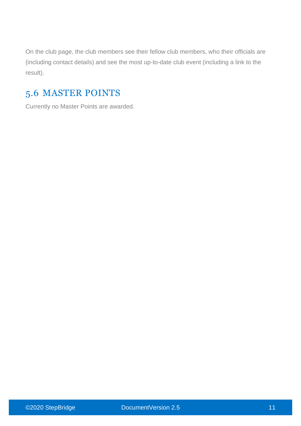On the club page, the club members see their fellow club members, who their officials are (including contact details) and see the most up-to-date club event (including a link to the result).

# 5.6 MASTER POINTS

Currently no Master Points are awarded.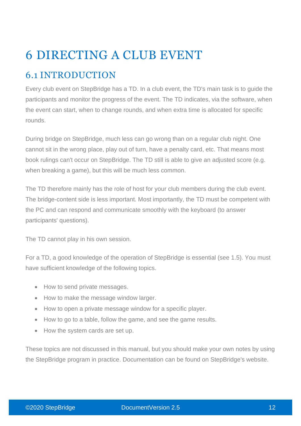# 6 DIRECTING A CLUB EVENT

# 6.1 INTRODUCTION

Every club event on StepBridge has a TD. In a club event, the TD's main task is to guide the participants and monitor the progress of the event. The TD indicates, via the software, when the event can start, when to change rounds, and when extra time is allocated for specific rounds.

During bridge on StepBridge, much less can go wrong than on a regular club night. One cannot sit in the wrong place, play out of turn, have a penalty card, etc. That means most book rulings can't occur on StepBridge. The TD still is able to give an adjusted score (e.g. when breaking a game), but this will be much less common.

The TD therefore mainly has the role of host for your club members during the club event. The bridge-content side is less important. Most importantly, the TD must be competent with the PC and can respond and communicate smoothly with the keyboard (to answer participants' questions).

The TD cannot play in his own session.

For a TD, a good knowledge of the operation of StepBridge is essential (see 1.5). You must have sufficient knowledge of the following topics.

- How to send private messages.
- How to make the message window larger.
- How to open a private message window for a specific player.
- How to go to a table, follow the game, and see the game results.
- How the system cards are set up.

These topics are not discussed in this manual, but you should make your own notes by using the StepBridge program in practice. Documentation can be found on StepBridge's website.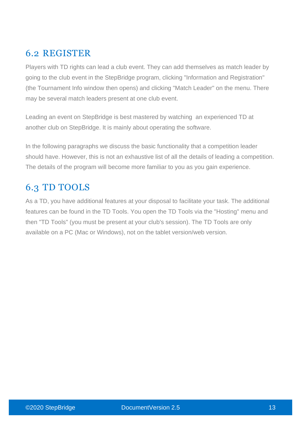# 6.2 REGISTER

Players with TD rights can lead a club event. They can add themselves as match leader by going to the club event in the StepBridge program, clicking "Information and Registration" (the Tournament Info window then opens) and clicking "Match Leader" on the menu. There may be several match leaders present at one club event.

Leading an event on StepBridge is best mastered by watching an experienced TD at another club on StepBridge. It is mainly about operating the software.

In the following paragraphs we discuss the basic functionality that a competition leader should have. However, this is not an exhaustive list of all the details of leading a competition. The details of the program will become more familiar to you as you gain experience.

# 6.3 TD TOOLS

As a TD, you have additional features at your disposal to facilitate your task. The additional features can be found in the TD Tools. You open the TD Tools via the "Hosting" menu and then "TD Tools" (you must be present at your club's session). The TD Tools are only available on a PC (Mac or Windows), not on the tablet version/web version.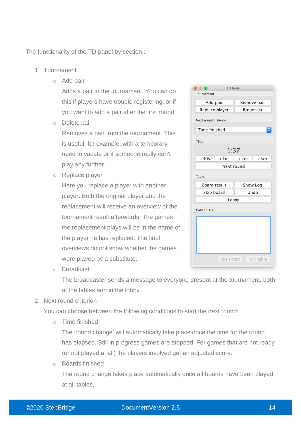The functionality of the TD panel by section::

- 1. Tournament
	- o Add pair

Adds a pair to the tournament. You can do this if players have trouble registering, or if you want to add a pair after the first round.

o Delete pair

Removes a pair from the tournament. This is useful, for example, with a temporary need to vacate or if someone really can't play any further.

o Replace player

Here you replace a player with another player. Both the original player and the replacement will receive an overview of the tournament result afterwards. The games the replacement plays will be in the name of the player he has replaced. The final overviews do not show whether the games were played by a substitute.

| <b>TD</b> tools        |                  |
|------------------------|------------------|
| Tournament             |                  |
|                        |                  |
| Add pair               | Remove pair      |
| Replace player         | <b>Broadcast</b> |
| Next round criterion   |                  |
| Time finished          | $\Diamond$       |
| Timer<br>1:37          |                  |
|                        |                  |
| $+30s$<br>$+1m$        | $+2m$<br>$+5m$   |
| Next round             |                  |
| Table                  |                  |
| <b>Board result</b>    | Show Log         |
| Skip board             | Undo             |
| Lobby                  |                  |
| Calls to TD            |                  |
|                        |                  |
| Open chat   Join table |                  |

o Broadcast

The broadcaster sends a message to everyone present at the tournament, both at the tables and in the lobby.

2. Next round criterion

You can choose between the following conditions to start the next round:

o Time finished

The 'round change' will automatically take place once the time for the round has elapsed. Still in progress games are stopped. For games that are not ready (or not played at all) the players involved get an adjusted score.

o Boards finished

The round change takes place automatically once all boards have been played at all tables.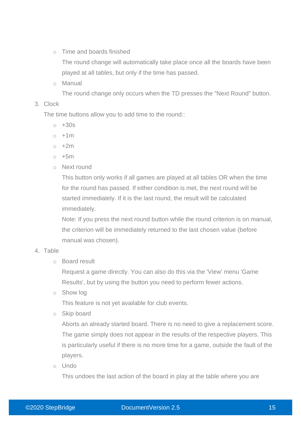o Time and boards finished

The round change will automatically take place once all the boards have been played at all tables, but only if the time has passed.

o Manual

The round change only occurs when the TD presses the "Next Round" button.

#### 3. Clock

The time buttons allow you to add time to the round::

- $\circ$  +30s
- $\circ$  +1m
- $\circ$  +2m
- $\circ$  +5m
- o Next round

This button only works if all games are played at all tables OR when the time for the round has passed. If either condition is met, the next round will be started immediately. If it is the last round, the result will be calculated immediately.

Note: If you press the next round button while the round criterion is on manual, the criterion will be immediately returned to the last chosen value (before manual was chosen).

#### 4. Table

o Board result

Request a game directly. You can also do this via the 'View' menu 'Game Results', but by using the button you need to perform fewer actions.

o Show log

This feature is not yet available for club events.

o Skip board

Aborts an already started board. There is no need to give a replacement score. The game simply does not appear in the results of the respective players. This is particularly useful if there is no more time for a game, outside the fault of the players.

o Undo

This undoes the last action of the board in play at the table where you are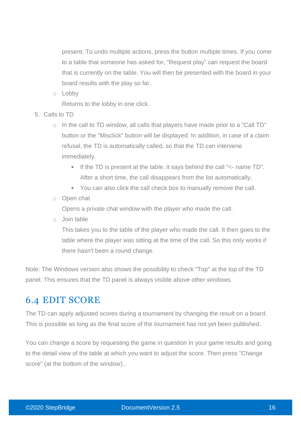present. To undo multiple actions, press the button multiple times. If you come to a table that someone has asked for, "Request play" can request the board that is currently on the table. You will then be presented with the board in your board results with the play so far..

o Lobby

Returns to the lobby in one click.

- 5. Calls to TD
	- o In the call to TD window, all calls that players have made prior to a "Call TD" button or the "Misclick" button will be displayed. In addition, in case of a claim refusal, the TD is automatically called, so that the TD can intervene immediately.
		- If the TD is present at the table, it says behind the call "<- name TD". After a short time, the call disappears from the list automatically.
		- You can also click the call check box to manually remove the call.
	- o Open chat

Opens a private chat window with the player who made the call.

o Join table

This takes you to the table of the player who made the call. It then goes to the table where the player was sitting at the time of the call. So this only works if there hasn't been a round change.

Note: The Windows version also shows the possibility to check "Top" at the top of the TD panel. This ensures that the TD panel is always visible above other windows.

### 6.4 EDIT SCORE

The TD can apply adjusted scores during a tournament by changing the result on a board. This is possible as long as the final score of the tournament has not yet been published.

You can change a score by requesting the game in question in your game results and going to the detail view of the table at which you want to adjust the score. Then press "Change score" (at the bottom of the window)..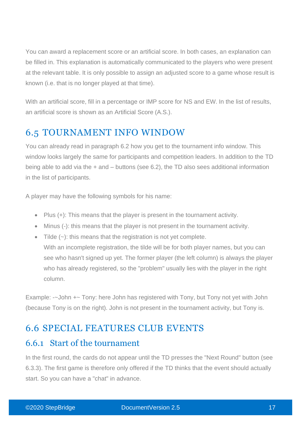You can award a replacement score or an artificial score. In both cases, an explanation can be filled in. This explanation is automatically communicated to the players who were present at the relevant table. It is only possible to assign an adjusted score to a game whose result is known (i.e. that is no longer played at that time).

With an artificial score, fill in a percentage or IMP score for NS and EW. In the list of results, an artificial score is shown as an Artificial Score (A.S.).

## 6.5 TOURNAMENT INFO WINDOW

You can already read in paragraph 6.2 how you get to the tournament info window. This window looks largely the same for participants and competition leaders. In addition to the TD being able to add via the + and – buttons (see 6.2), the TD also sees additional information in the list of participants.

A player may have the following symbols for his name:

- Plus (+): This means that the player is present in the tournament activity.
- Minus (-): this means that the player is not present in the tournament activity.
- $\bullet$  Tilde  $(\sim)$ : this means that the registration is not yet complete. With an incomplete registration, the tilde will be for both player names, but you can see who hasn't signed up yet. The former player (the left column) is always the player who has already registered, so the "problem" usually lies with the player in the right column.

Example: -~John +~ Tony: here John has registered with Tony, but Tony not yet with John (because Tony is on the right). John is not present in the tournament activity, but Tony is.

## 6.6 SPECIAL FEATURES CLUB EVENTS

### 6.6.1 Start of the tournament

In the first round, the cards do not appear until the TD presses the "Next Round" button (see 6.3.3). The first game is therefore only offered if the TD thinks that the event should actually start. So you can have a "chat" in advance.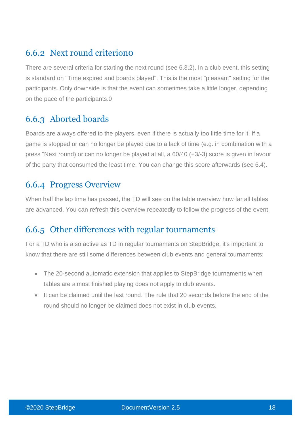# 6.6.2 Next round criterion0

There are several criteria for starting the next round (see 6.3.2). In a club event, this setting is standard on "Time expired and boards played". This is the most "pleasant" setting for the participants. Only downside is that the event can sometimes take a little longer, depending on the pace of the participants.0

### 6.6.3 Aborted boards

Boards are always offered to the players, even if there is actually too little time for it. If a game is stopped or can no longer be played due to a lack of time (e.g. in combination with a press "Next round) or can no longer be played at all, a 60/40 (+3/-3) score is given in favour of the party that consumed the least time. You can change this score afterwards (see 6.4).

### 6.6.4 Progress Overview

When half the lap time has passed, the TD will see on the table overview how far all tables are advanced. You can refresh this overview repeatedly to follow the progress of the event.

### 6.6.5 Other differences with regular tournaments

For a TD who is also active as TD in regular tournaments on StepBridge, it's important to know that there are still some differences between club events and general tournaments:

- The 20-second automatic extension that applies to StepBridge tournaments when tables are almost finished playing does not apply to club events.
- It can be claimed until the last round. The rule that 20 seconds before the end of the round should no longer be claimed does not exist in club events.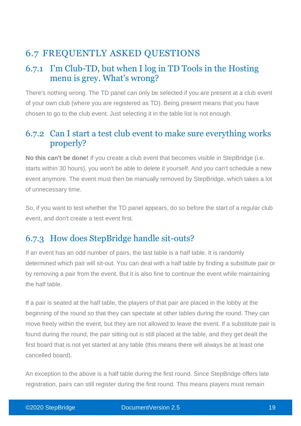# 6.7 FREQUENTLY ASKED QUESTIONS

### 6.7.1 I'm Club-TD, but when I log in TD Tools in the Hosting menu is grey. What's wrong?

There's nothing wrong. The TD panel can only be selected if you are present at a club event of your own club (where you are registered as TD). Being present means that you have chosen to go to the club event. Just selecting it in the table list is not enough.

### 6.7.2 Can I start a test club event to make sure everything works properly?

**No this can't be done!** If you create a club event that becomes visible in StepBridge (i.e. starts within 30 hours), you won't be able to delete it yourself. And you can't schedule a new event anymore. The event must then be manually removed by StepBridge, which takes a lot of unnecessary time.

So, if you want to test whether the TD panel appears, do so before the start of a regular club event, and don't create a test event first.

## 6.7.3 How does StepBridge handle sit-outs?

If an event has an odd number of pairs, the last table is a half table. It is randomly determined which pair will sit-out. You can deal with a half table by finding a substitute pair or by removing a pair from the event. But it is also fine to continue the event while maintaining the half table.

If a pair is seated at the half table, the players of that pair are placed in the lobby at the beginning of the round so that they can spectate at other tables during the round. They can move freely within the event, but they are not allowed to leave the event. If a substitute pair is found during the round, the pair sitting out is still placed at the table, and they get dealt the first board that is not yet started at any table (this means there will always be at least one cancelled board).

An exception to the above is a half table during the first round. Since StepBridge offers late registration, pairs can still register during the first round. This means players must remain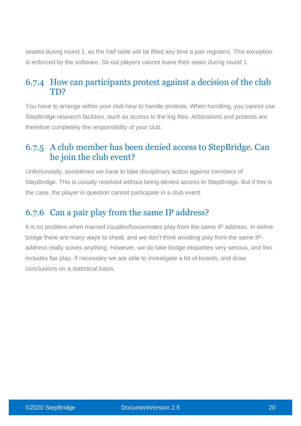seated during round 1, as the half table will be filled any time a pair registers. This exception is enforced by the software. Sit-out players cannot leave their seats during round 1.

### 6.7.4 How can participants protest against a decision of the club TD?

You have to arrange within your club how to handle protests. When handling, you cannot use StepBridge research facilities, such as access to the log files. Arbitrations and protests are therefore completely the responsibility of your club.

### 6.7.5 A club member has been denied access to StepBridge. Can he join the club event?

Unfortunately, sometimes we have to take disciplinary action against members of StepBridge. This is usually resolved without being denied access to StepBridge. But if this is the case, the player in question cannot participate in a club event.

## 6.7.6 Can a pair play from the same IP address?

It is no problem when married couples/housemates play from the same IP address. In online bridge there are many ways to cheat, and we don't think avoiding play from the same IPaddress really solves anything. However, we do take bridge etiquettes very serious, and this includes fair play. If necessary we are able to investigate a lot of boards, and draw conclusions on a statistical basis.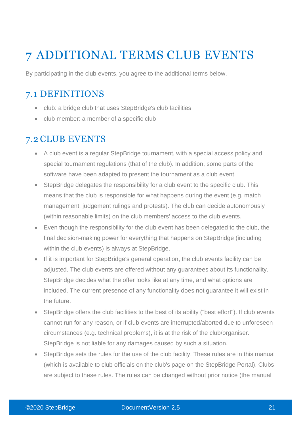# 7 ADDITIONAL TERMS CLUB EVENTS

By participating in the club events, you agree to the additional terms below.

### 7.1 DEFINITIONS

- club: a bridge club that uses StepBridge's club facilities
- club member: a member of a specific club

### 7.2 CLUB EVENTS

- A club event is a regular StepBridge tournament, with a special access policy and special tournament regulations (that of the club). In addition, some parts of the software have been adapted to present the tournament as a club event.
- StepBridge delegates the responsibility for a club event to the specific club. This means that the club is responsible for what happens during the event (e.g. match management, judgement rulings and protests). The club can decide autonomously (within reasonable limits) on the club members' access to the club events.
- Even though the responsibility for the club event has been delegated to the club, the final decision-making power for everything that happens on StepBridge (including within the club events) is always at StepBridge.
- If it is important for StepBridge's general operation, the club events facility can be adjusted. The club events are offered without any guarantees about its functionality. StepBridge decides what the offer looks like at any time, and what options are included. The current presence of any functionality does not guarantee it will exist in the future.
- StepBridge offers the club facilities to the best of its ability ("best effort"). If club events cannot run for any reason, or if club events are interrupted/aborted due to unforeseen circumstances (e.g. technical problems), it is at the risk of the club/organiser. StepBridge is not liable for any damages caused by such a situation.
- StepBridge sets the rules for the use of the club facility. These rules are in this manual (which is available to club officials on the club's page on the StepBridge Portal). Clubs are subject to these rules. The rules can be changed without prior notice (the manual